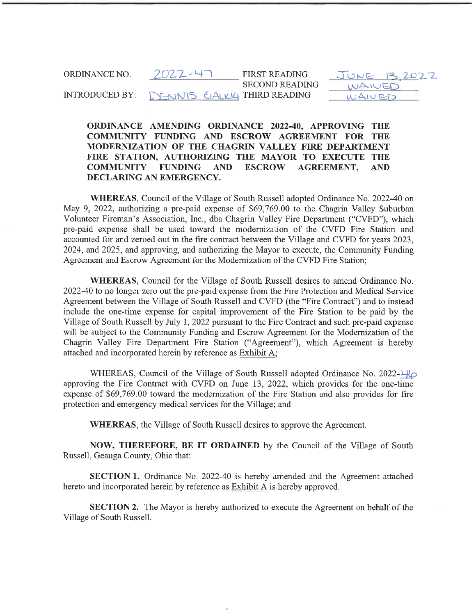ORDINANCE NO.  $2022 - 47$ INTRODUCED BY: FIRST READING SECOND READING **CALICK THIRD READING** 

 $JUNE$   $R$ WAIVER WAIV ED 2022

ORDINANCE AMENDING ORDINANCE 2022-40, APPROVING THE COMMUNITY FUNDING AND ESCROW AGREEMENT FOR THE MODERNIZATION OF THE CHAGRIN VALLEY FIRE DEPARTMENT FIRE STATION, AUTHORIZING THE MAYOR TO EXECUTE THE COMMUNITY FUNDING AND ESCROW AGREEMENT, AND DECLARING AN EMERGENCY.

WHEREAS, Council of the Village of South Russell adopted Ordinance No. 2022-40 on May 9, 2022, authorizing a pre-paid expense of \$69, 769. 00 to the Chagrin Valley Suburban Volunteer Fireman's Association, Inc., dba Chagrin Valley Fire Department ("CVFD"), which pre-paid expense shall be used toward the modernization of the CVFD Fire Station and accounted for and zeroed out in the fire contract between the Village and CVFD for years 2023, 2024, and 2025, and approving, and authorizing the Mayor to execute, the Community Funding Agreement and Escrow Agreement for the Modernization of the CVFD Fire Station;

WHEREAS, Council for the Village of South Russell desires to amend Ordinance No. 2022-40 to no longer zero out the pre-paid expense from the Fire Protection and Medical Service Agreement between the Village of South Russell and CVFD (the "Fire Contract") and to instead include the one-time expense for capital improvement of the Fire Station to be paid by the Village of South Russell by July 1, 2022 pursuant to the Fire Contract and such pre-paid expense will be subject to the Community Funding and Escrow Agreement for the Modernization of the Chagrin Valley Fire Department Fire Station ("Agreement"), which Agreement is hereby attached and incorporated herein by reference as Exhibit A;

WHEREAS, Council of the Village of South Russell adopted Ordinance No. 2022- $\frac{1}{10}$ approving the Fire Contract with CVFD on June 13, 2022, which provides for the one-time expense of \$69,769.00 toward the modernization of the Fire Station and also provides for fire protection and emergency medical services for the Village; and

WHEREAS, the Village of South Russell desires to approve the Agreement.

NOW, THEREFORE, BE IT ORDAINED by the Council of the Village of South Russell, Geauga County, Ohio that:

SECTION 1. Ordinance No. 2022-40 is hereby amended and the Agreement attached hereto and incorporated herein by reference as **Exhibit A** is hereby approved.

SECTION 2. The Mayor is hereby authorized to execute the Agreement on behalf of the Village of South Russell.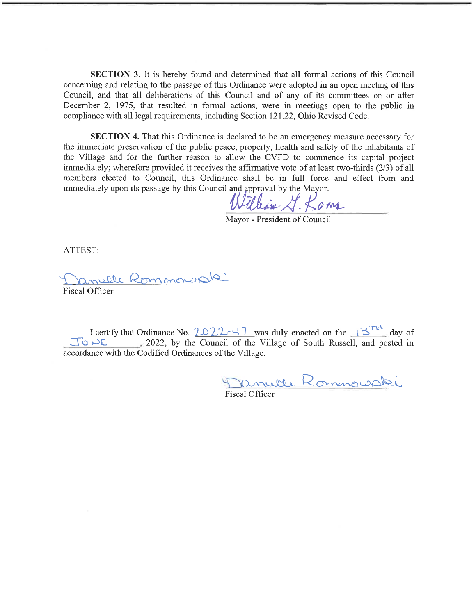SECTION 3. It is hereby found and determined that all formal actions of this Council concerning and relating to the passage of this Ordinance were adopted in an open meeting of this Council, and that all deliberations of this Council and of any of its committees on or after December 2, 1975, that resulted in formal actions, were in meetings open to the public in compliance with all legal requirements, including Section 121.22, Ohio Revised Code.

SECTION 4. That this Ordinance is declared to be an emergency measure necessary for the immediate preservation of the public peace, property, health and safety of the inhabitants of the Village and for the further reason to allow the CVFD to commence its capital project immediately; wherefore provided it receives the affirmative vote of at least two-thirds (2/3) of all members elected to Council, this Ordinance shall be in full force and effect from and immediately upon its passage by this Council and approval by the Mayor.

allain G. Koma

Mayor - President of Council

ATTEST:

Anielle Romanous de

Fiscal Officer

I certify that Ordinance No.  $2022-47$  was duly enacted on the  $13^{T-1}$  day of  $\bigcup_{i=1}^{\infty}$  i-> C<sub>1</sub> 2022, by the Council of the Village of South Russell, and posted in accordance with the Codified Ordinances of the Village.

Janulle Rommouski

# Fiscal Officer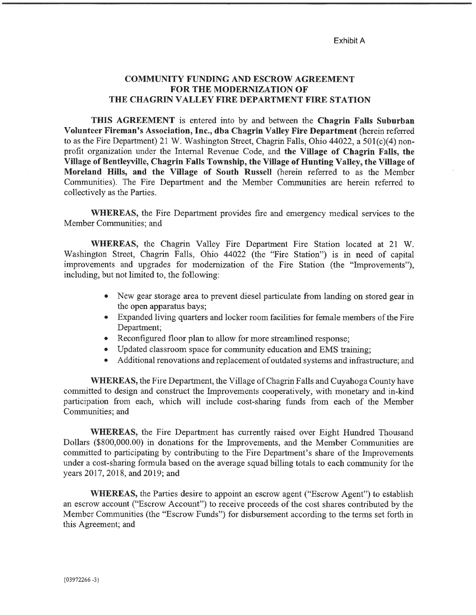Exhibit A

### COMMUNITY FUNDING AND ESCROW AGREEMENT FOR THE MODERNIZATION OF THE CHAGRIN VALLEY FIRE DEPARTMENT FIRE STATION

THIS AGREEMENT is entered into by and between the Chagrin Falls Suburban Volunteer Fireman's Association, Inc., dba Chagrin Valley Fire Department (herein referred to as the Fire Department) 21 W. Washington Street, Chagrin Falls, Ohio 44022, a 501(c)(4) nonprofit organization under the Internal Revenue Code, and the Village of Chagrin Falls, the Village of Bentleyville, Chagrin Falls Township, the Village of Hunting Valley, the Village of Moreland Hills, and the Village of South Russell (herein referred to as the Member Communities). The Fire Department and the Member Communities are herein referred to collectively as the Parties.

WHEREAS, the Fire Department provides fire and emergency medical services to the Member Communities; and

WHEREAS, the Chagrin Valley Fire Department Fire Station located at 21 W. Washington Street, Chagrin Falls, Ohio 44022 (the "Fire Station") is in need of capital improvements and upgrades for modernization of the Fire Station (the "Improvements"), including, but not limited to, the following:

- . New gear storage area to prevent diesel particulate from landing on stored gear in the open apparatus bays;
- . Expanded living quarters and locker room facilities for female members of the Fire Department;
- . Reconfigured floor plan to allow for more streamlined response;
- . Updated classroom space for community education and EMS training;
- . Additional renovations and replacement of outdated systems and infrastructure; and

WHEREAS, the Fire Department, the Village of Chagrin Falls and Cuyahoga County have committed to design and construct the Improvements cooperatively, with monetary and in-kind participation from each, which will include cost-sharing funds from each of the Member Communities; and

WHEREAS, the Fire Department has currently raised over Eight Hundred Thousand Dollars (\$800, 000. 00) in donations for the Improvements, and the Member Communities are committed to participating by contributing to the Fire Department's share of the Improvements under a cost-sharing formula based on the average squad billing totals to each community for the years 2017, 2018, and 2019; and

WHEREAS, the Parties desire to appoint an escrow agent ("Escrow Agent") to establish an escrow account ("Escrow Account") to receive proceeds of the cost shares contributed by the Member Communities (the "Escrow Funds") for disbursement according to the terms set forth in this Agreement; and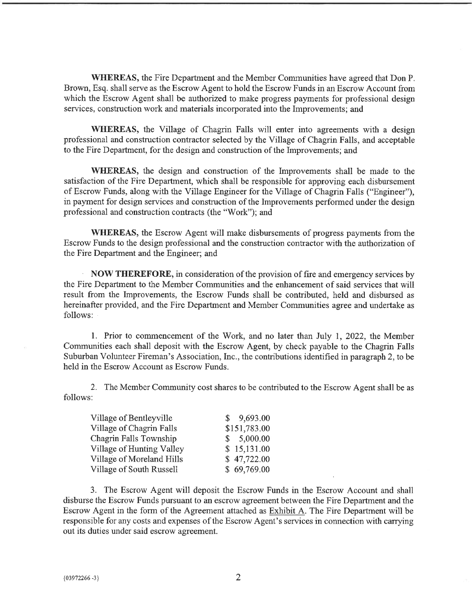WHEREAS, the Fire Department and the Member Communities have agreed that Don P. Brown, Esq. shall serve as the Escrow Agent to hold the Escrow Funds in an Escrow Account from which the Escrow Agent shall be authorized to make progress payments for professional design services, construction work and materials incorporated into the Improvements; and

WHEREAS, the Village of Chagrin Falls will enter into agreements with a design professional and construction contractor selected by the Village of Chagrin Falls, and acceptable to the Fire Department, for the design and construction of the Improvements; and

WHEREAS, the design and construction of the Improvements shall be made to the satisfaction of the Fire Department, which shall be responsible for approving each disbursement of Escrow Funds, along with the Village Engineer for the Village of Chagrin Falls ("Engineer"), in payment for design services and construction of the Improvements performed under the design professional and construction contracts (the "Work"); and

WHEREAS, the Escrow Agent will make disbursements of progress payments from the Escrow Funds to the design professional and the construction contractor with the authorization of the Fire Department and the Engineer; and

NOW THEREFORE, in consideration of the provision of fire and emergency services by the Fire Department to the Member Communities and the enhancement of said services that will result from the Improvements, the Escrow Funds shall be contributed, held and disbursed as hereinafter provided, and the Fire Department and Member Communities agree and undertake as follows:

1. Prior to commencement of the Work, and no later than July 1, 2022, the Member Communities each shall deposit with the Escrow Agent, by check payable to the Chagrin Falls Suburban Volunteer Fireman's Association, Inc., the contributions identified in paragraph 2, to be held in the Escrow Account as Escrow Funds.

2. The Member Community cost shares to be contributed to the Escrow Agent shall be as follows:

| Village of Bentleyville   | \$9,693.00   |
|---------------------------|--------------|
| Village of Chagrin Falls  | \$151,783.00 |
| Chagrin Falls Township    | \$5,000.00   |
| Village of Hunting Valley | \$15,131.00  |
| Village of Moreland Hills | \$47,722.00  |
| Village of South Russell  | \$69,769.00  |

3. The Escrow Agent will deposit the Escrow Funds in the Escrow Account and shall disburse the Escrow Funds pursuant to an escrow agreement between the Fire Department and the Escrow Agent in the form of the Agreement attached as Exhibit A. The Fire Department will be responsible for any costs and expenses of the Escrow Agent's services in connection with carrying out its duties under said escrow agreement.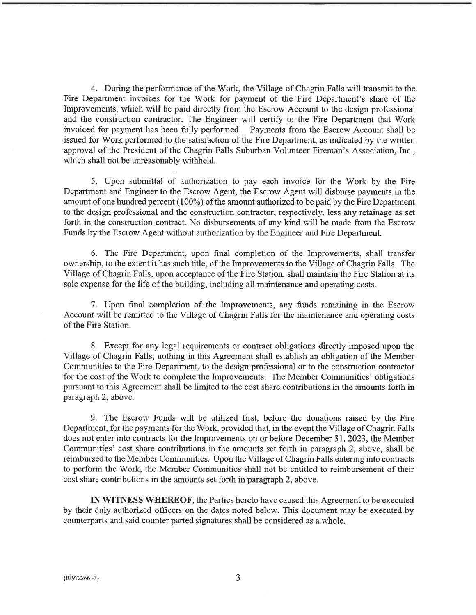4. During the performance of the Work, the Village of Chagrin Falls will transmit to the Fire Department invoices for the Work for payment of the Fire Department's share of the Improvements, which will be paid directly from the Escrow Account to the design professional and the construction contractor. The Engineer will certify to the Fire Department that Work invoiced for payment has been fully performed. Payments from the Escrow Account shall be issued for Work performed to the satisfaction of the Fire Department, as indicated by the written approval of the President of the Chagrin Falls Suburban Volunteer Fireman's Association, Inc., which shall not be unreasonably withheld.

5. Upon submittal of authorization to pay each invoice for the Work by the Fire Department and Engineer to the Escrow Agent, the Escrow Agent will disburse payments in the amount of one hundred percent (100%) of the amount authorized to be paid by the Fire Department to the design professional and the construction contractor, respectively, less any retainage as set forth in the construction contract. No disbursements of any kind will be made from the Escrow Funds by the Escrow Agent without authorization by the Engineer and Fire Department.

6. The Fire Department, upon final completion of the Improvements, shall transfer ownership, to the extent it has such title, of the Improvements to the Village of Chagrin Falls. The Village of Chagrin Falls, upon acceptance of the Fire Station, shall maintain the Fire Station at its sole expense for the life of the building, including all maintenance and operating costs.

7. Upon final completion of the Improvements, any funds remaining m the Escrow Account will be remitted to the Village of Chagrin Falls for the maintenance and operating costs of the Fire Station.

8. Except for any legal requirements or contract obligations directly imposed upon the Village of Chagrin Falls, nothing in this Agreement shall establish an obligation of the Member Communities to the Fire Department, to the design professional or to the construction contractor for the cost of the Work to complete the Improvements. The Member Communities' obligations pursuant to this Agreement shall be limited to the cost share contributions in the amounts forth in paragraph 2, above.

9. The Escrow Funds will be utilized first, before the donations raised by the Fire Department, for the payments for the Work, provided that, in the event the Village of Chagrin Falls does not enter into contracts for the Improvements on or before December 31, 2023, the Member Communities' cost share contributions in the amounts set forth in paragraph 2, above, shall be reimbursed to the Member Communities. Upon the Village of Chagrin Falls entering into contracts to perform the Work, the Member Communities shall not be entitled to reimbursement of their cost share contributions in the amounts set forth in paragraph 2, above.

IN WITNESS WHEREOF, the Parties hereto have caused this Agreement to be executed by their duly authorized officers on the dates noted below. This document may be executed by counterparts and said counter parted signatures shall be considered as a whole.

3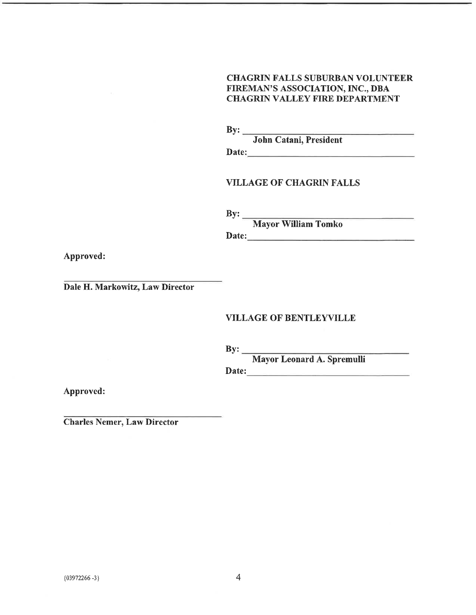## CHAGRIN FALLS SUBURBAN VOLUNTEER FIREMAN'S ASSOCIATION, INC., DBA CHAGRIN VALLEY FIRE DEPARTMENT

By:  $\_\_$ 

John Catani, President

Date: No. 2020 September 2020 September 2020 September 2020 September 2020 September 2020 September 2020 September 2020 September 2020 September 2020 September 2020 September 2020 September 2020 September 2020 September 20

## VILLAGE OF CHAGRIN FALLS

By:

Date: Mayor William Tomko

Approved:

Dale H. Markowitz, Law Director

## VILLAGE OF BENTLEYVILLE

By:

Mayor Leonard A. Spremulli

Date:

Approved:

Charles Nemer, Law Director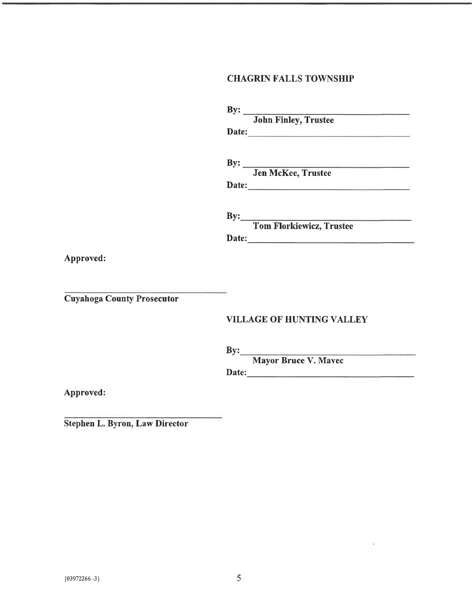# CHAGRIN FALLS TOWNSHIP

|                  | <b>John Finley, Trustee</b>                                                               |
|------------------|-------------------------------------------------------------------------------------------|
| Date:            | the control of the control of the control of the control of the control of the control of |
| $\mathbf{By:}\_$ | and the control of the control of the                                                     |
|                  | <b>Jen McKee, Trustee</b>                                                                 |
| Date:            | <u> 1950 - Andrea Andrew Maria Ba</u>                                                     |
|                  | $\mathbf{By:}$                                                                            |
|                  | <b>Tom Florkiewicz, Trustee</b>                                                           |

Approved:

Cuyahoga County Prosecutor

## VILLAGE OF HUNTING VALLEY

By:

Mayor Bruce V. Mavec

Date:

Approved:

Stephen L. Byron, Law Director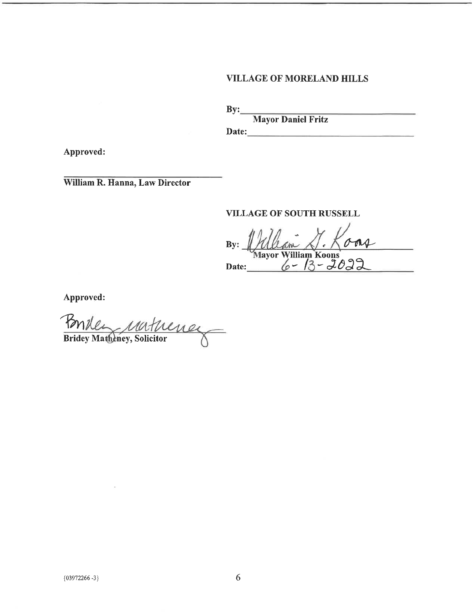# VILLAGE OF MORELAND HILLS

 $By:$ 

Mayor Daniel Fritz

Date:

Approved:

William R. Hanna, Law Director

## VILLAGE OF SOUTH RUSSELL

VILLAGE OF SOUTH RUSSELL<br>By: <u>Mayor William Koons</u><br>Date: 6 - 13 - 2022

Approved:

 $\hat{v}$ Bridey Matheney, Solicitor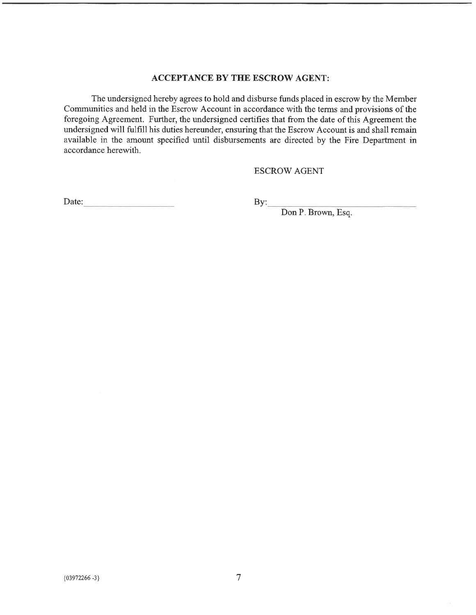## ACCEPTANCE BY THE ESCROW AGENT:

The undersigned hereby agrees to hold and disburse funds placed in escrow by the Member Communities and held in the Escrow Account in accordance with the terms and provisions of the foregoing Agreement. Further, the undersigned certifies that from the date of this Agreement the undersigned will fulfill his duties hereunder, ensuring that the Escrow Account is and shall remain available in the amount specified until disbursements are directed by the Fire Department in accordance herewith.

#### ESCROW AGENT

Date: By:

Don P. Brown, Esq.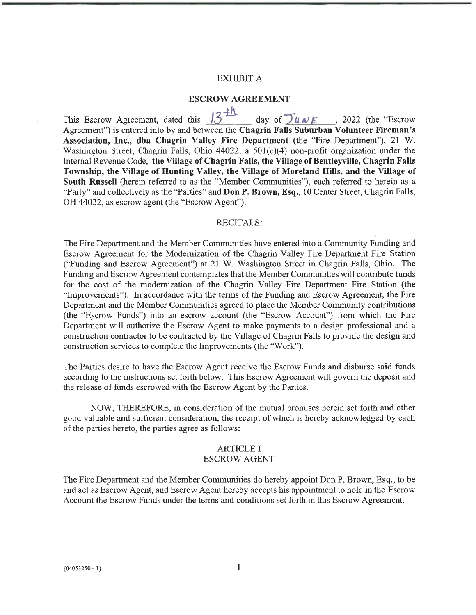#### EXHIBIT A

#### ESCROW AGREEMENT

This Escrow Agreement, dated this  $\sqrt{3+h}$  day of  $\sqrt{u_1v_2}$ , 2022 (the "Escrow Agreement") is entered into by and between the Chagrin Falls Suburban Volunteer Fireman's Association, Inc., dba Chagrin Valley Fire Department (the "Fire Department"), 21 W. Washington Street, Chagrin Falls, Ohio 44022, a 501(c)(4) non-profit organization under the Internal Revenue Code, the Village of Chagrin Falls, the Village of Bentleyville, Chagrin Falls Township, the Village of Hunting Valley, the Village of Moreland Hills, and the Village of South Russell (herein referred to as the "Member Communities"), each referred to herein as a "Party" and collectively as the "Parties" and **Don P. Brown, Esq.**, 10 Center Street, Chagrin Falls, OH 44022, as escrow agent (the "Escrow Agent").

#### RECITALS:

The Fire Department and the Member Communities have entered into a Community Funding and Escrow Agreement for the Modernization of the Chagrin Valley Fire Department Fire Station ("Funding and Escrow Agreement") at 21 W. Washington Street in Chagrin Falls, Ohio. The Funding and Escrow Agreement contemplates that the Member Communities will contribute funds for the cost of the modernization of the Chagrin Valley Fire Department Fire Station (the "Improvements"). In accordance with the terms of the Funding and Escrow Agreement, the Fire Department and the Member Communities agreed to place the Member Community contributions (the "Escrow Funds") into an escrow account (the "Escrow Account") from which the Fire Department will authorize the Escrow Agent to make payments to a design professional and a construction contractor to be contracted by the Village of Chagrin Falls to provide the design and construction services to complete the Improvements (the "Work").

The Parties desire to have the Escrow Agent receive the Escrow Funds and disburse said funds according to the instructions set forth below. This Escrow Agreement will govern the deposit and the release of funds escrowed with the Escrow Agent by the Parties.

NOW, THEREFORE, in consideration of the mutual promises herein set forth and other good valuable and sufficient consideration, the receipt of which is hereby acknowledged by each of the parties hereto, the parties agree as follows:

## ARTICLE I

#### ESCROW AGENT

The Fire Department and the Member Communities do hereby appoint Don P. Brown, Esq., to be and act as Escrow Agent, and Escrow Agent hereby accepts his appointment to hold in the Escrow Account the Escrow Funds under the terms and conditions set forth in this Escrow Agreement.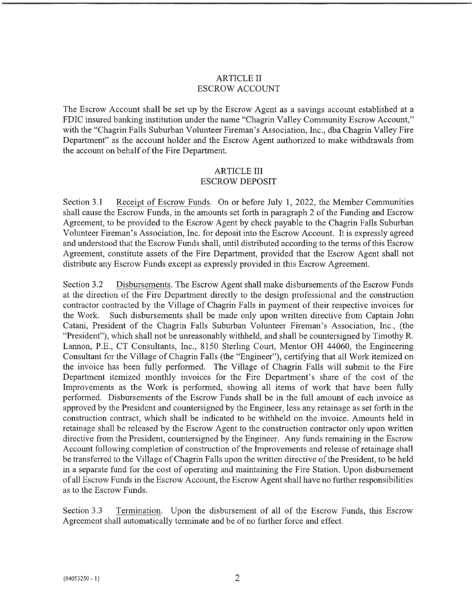## ARTICLE II ESCROW ACCOUNT

The Escrow Account shall be set up by the Escrow Agent as a savings account established at a FDIC insured banking institution under the name "Chagrin Valley Community Escrow Account," with the "Chagrin Falls Suburban Volunteer Fireman's Association, Inc., dba Chagrin Valley Fire Department" as the account holder and the Escrow Agent authorized to make withdrawals from the account on behalf of the Fire Department.

#### ARTICLE III ESCROW DEPOSIT

Section 3.1 Receipt of Escrow Funds. On or before July 1, 2022, the Member Communities shall cause the Escrow Funds, in the amounts set forth in paragraph 2 of the Funding and Escrow Agreement, to be provided to the Escrow Agent by check payable to the Chagrin Falls Suburban Volunteer Fireman's Association, Inc. for deposit into the Escrow Account. It is expressly agreed and understood that the Escrow Funds shall, until distributed according to the terms of this Escrow Agreement, constitute assets of the Fire Department, provided that the Escrow Agent shall not distribute any Escrow Funds except as expressly provided in this Escrow Agreement.

Section 3.2 Disbursements. The Escrow Agent shall make disbursements of the Escrow Funds at the direction of the Fire Department directly to the design professional and the construction contractor contracted by the Village of Chagrin Falls in payment of their respective invoices for the Work. Such disbursements shall be made only upon written directive from Captain John Catani, President of the Chagrin Falls Suburban Volunteer Fireman's Association, Inc., (the "President"), which shall not be unreasonably withheld, and shall be countersigned by Timothy R. Lannon, P.E., CT Consultants, Inc., 8150 Sterling Court, Mentor OH 44060, the Engineering Consultant for the Village of Chagrin Falls (the "Engineer"), certifying that all Work itemized on the invoice has been fully performed. The Village of Chagrin Falls will submit to the Fire Department itemized monthly invoices for the Fire Department's share of the cost of the Improvements as the Work is performed, showing all items of work that have been fully performed. Disbursements of the Escrow Funds shall be in the full amount of each invoice as approved by the President and countersigned by the Engineer, less any retainage as set forth in the construction contract, which shall be indicated to be withheld on the invoice. Amounts held in retainage shall be released by the Escrow Agent to the construction contractor only upon written directive from the President, countersigned by the Engineer. Any funds remaining in the Escrow Account following completion of construction of the Improvements and release of retainage shall be transferred to the Village of Chagrin Falls upon the written directive of the President, to be held in a separate fund for the cost of operating and maintaining the Fire Station. Upon disbursement of all Escrow Funds in the Escrow Account, the Escrow Agent shall have no further responsibilities as to the Escrow Funds.

Section 3.3 Termination. Upon the disbursement of all of the Escrow Funds, this Escrow Agreement shall automatically terminate and be of no further force and effect.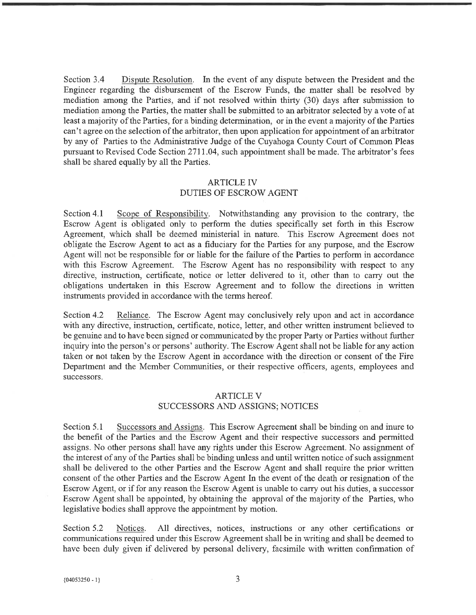Section 3.4 Dispute Resolution. In the event of any dispute between the President and the Engineer regarding the disbursement of the Escrow Funds, the matter shall be resolved by mediation among the Parties, and if not resolved within thirty (30) days after submission to mediation among the Parties, the matter shall be submitted to an arbitrator selected by a vote of at least a majority of the Parties, for a binding determination, or in the event a majority of the Parties can't agree on the selection of the arbitrator, then upon application for appointment of an arbitrator by any of Parties to the Administrative Judge of the Cuyahoga County Court of Common Pleas pursuant to Revised Code Section 2711. 04, such appointment shall be made. The arbitrator's fees shall be shared equally by all the Parties.

## ARTICLE IV

## DUTIES OF ESCROW AGENT

Section 4.1 Scope of Responsibility. Notwithstanding any provision to the contrary, the Escrow Agent is obligated only to perform the duties specifically set forth in this Escrow Agreement, which shall be deemed ministerial in nature. This Escrow Agreement does not obligate the Escrow Agent to act as a fiduciary for the Parties for any purpose, and the Escrow Agent will not be responsible for or liable for the failure of the Parties to perform in accordance with this Escrow Agreement. The Escrow Agent has no responsibility with respect to any directive, instruction, certificate, notice or letter delivered to it, other than to carry out the obligations undertaken in this Escrow Agreement and to follow the directions in written instruments provided in accordance with the terms hereof.

Section 4.2 Reliance. The Escrow Agent may conclusively rely upon and act in accordance with any directive, instruction, certificate, notice, letter, and other written instrument believed to be genuine and to have been signed or communicated by the proper Party or Parties without further inquiry into the person's or persons' authority. The Escrow Agent shall not be liable for any action taken or not taken by the Escrow Agent in accordance with the direction or consent of the Fire Department and the Member Communities, or their respective officers, agents, employees and successors.

### ARTICLE V SUCCESSORS AND ASSIGNS; NOTICES

Section 5.1 Successors and Assigns. This Escrow Agreement shall be binding on and inure to the benefit of the Parties and the Escrow Agent and their respective successors and permitted assigns. No other persons shall have any rights under this Escrow Agreement. No assignment of the interest of any of the Parties shall be binding unless and until written notice of such assignment shall be delivered to the other Parties and the Escrow Agent and shall require the prior written consent of the other Parties and the Escrow Agent In the event of the death or resignation of the Escrow Agent, or if for any reason the Escrow Agent is unable to cany out his duties, a successor Escrow Agent shall be appointed, by obtaining the approval of the majority of the Parties, who legislative bodies shall approve the appointment by motion.

Section 5.2 Notices. All directives, notices, instructions or any other certifications or communications required under this Escrow Agreement shall be in writing and shall be deemed to have been duly given if delivered by personal delivery, facsimile with written confirmation of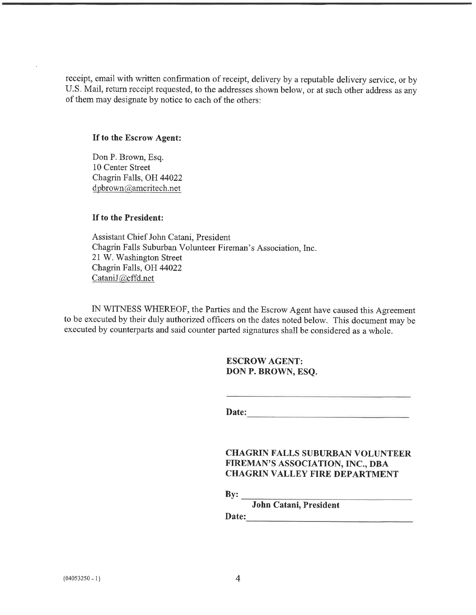receipt, email with written confirmation of receipt, delivery by a reputable delivery service, or by U.S. Mail, return receipt requested, to the addresses shown below, or at such other address as any of them may designate by notice to each of the others:

#### If to the Escrow Agent:

Don P. Brown, Esq. 10 Center Street Chagrin Falls, OH 44022 dpbrown@ameritech.net

#### If to the President:

Assistant Chief John Catani, President Chagrin Falls Suburban Volunteer Fireman's Association, Inc. 21 W. Washington Street Chagrin Falls, OH 44022 CataniJ@cffd.net

IN WITNESS WHEREOF, the Parties and the Escrow Agent have caused this Agreement to be executed by their duly authorized officers on the dates noted below. This document may be executed by counterparts and said counter parted signatures shall be considered as a whole.

## ESCROW AGENT: DON P. BROWN, ESQ.

Date:

### CHAGRIN FALLS SUBURBAN VOLUNTEER FIREMAN'S ASSOCIATION, INC., DBA **CHAGRIN VALLEY FIRE DEPARTMENT**

 $By:$ 

John Catani, President

Date: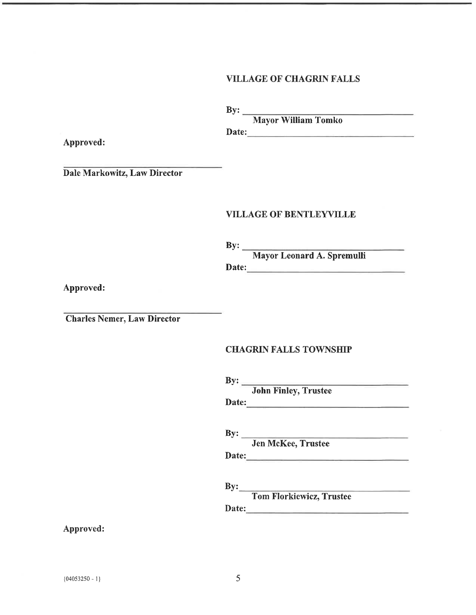## VILLAGE OF CHAGRIN FALLS

By:

Date: Mayor William Tomko

Approved:

Dale Markowitz, Law Director

### VILLAGE OF BENTLEYVILLE

By:

Mayor Leonard A. Spremulli

Date:

Approved:

Charles Nemer, Law Director

#### CHAGRIN FALLS TOWNSHIP

By: Date: John Finley, Trustee

By: Jen McKee, Trustee

Date:

 $By:$ 

 $\frac{1}{2} \left( \frac{1}{2} \right)^2 + \frac{1}{2} \left( \frac{1}{2} \right)^2 + \frac{1}{2} \left( \frac{1}{2} \right)^2 + \frac{1}{2} \left( \frac{1}{2} \right)^2 + \frac{1}{2} \left( \frac{1}{2} \right)^2 + \frac{1}{2} \left( \frac{1}{2} \right)^2 + \frac{1}{2} \left( \frac{1}{2} \right)^2 + \frac{1}{2} \left( \frac{1}{2} \right)^2 + \frac{1}{2} \left( \frac{1}{2} \right)^2 + \frac{1}{2} \left( \frac{1}{2} \right)^2 +$ Tom FIorkiewicz, Trustee

Date:

Approved: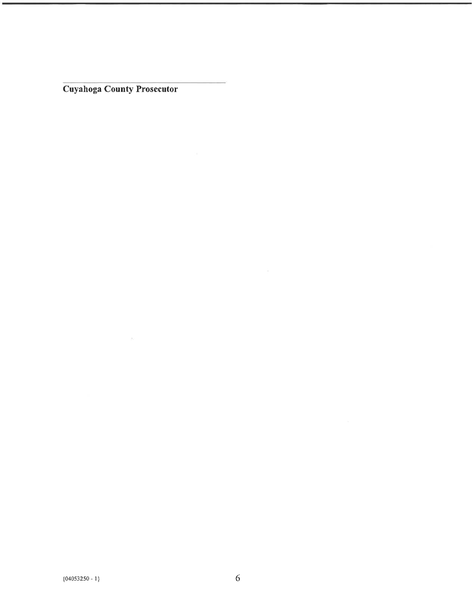Cuyahoga County Prosecutor

 $\sim 10$ 

 $\sim 10^{-1}$